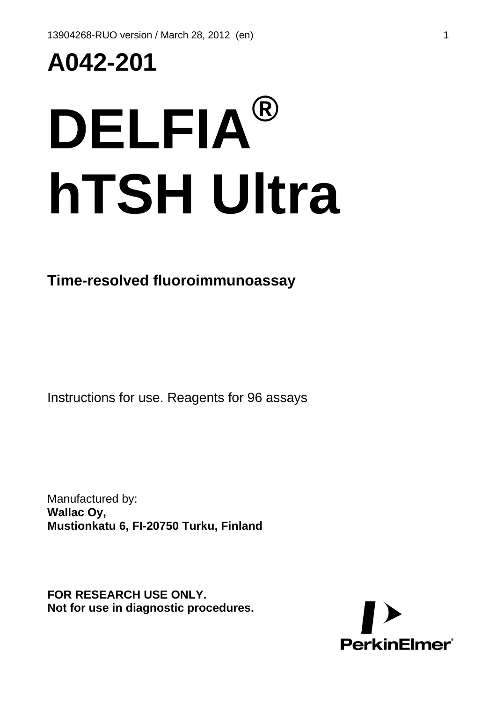## **A042-201**

# **DELFIA® hTSH Ultra**

#### **Time-resolved fluoroimmunoassay**

Instructions for use. Reagents for 96 assays

Manufactured by: **Wallac Oy, Mustionkatu 6, FI-20750 Turku, Finland**

**FOR RESEARCH USE ONLY. Not for use in diagnostic procedures.** 

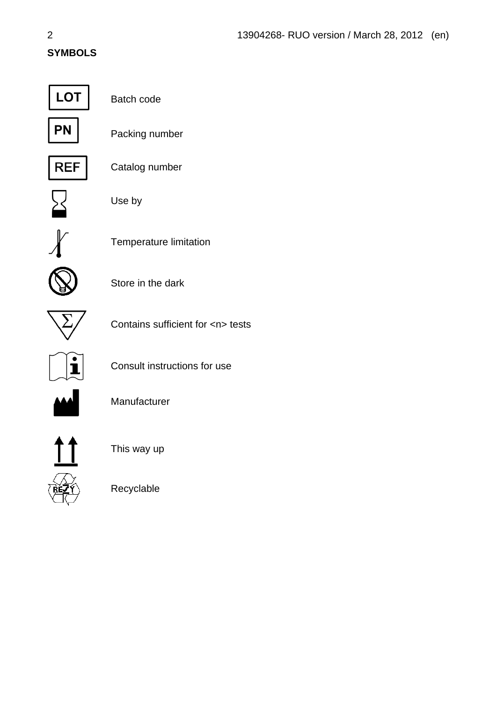#### **SYMBOLS**



Batch code



Packing number



Catalog number



Use by



Temperature limitation



Store in the dark



Contains sufficient for <n> tests



Consult instructions for use



Manufacturer



This way up

Recyclable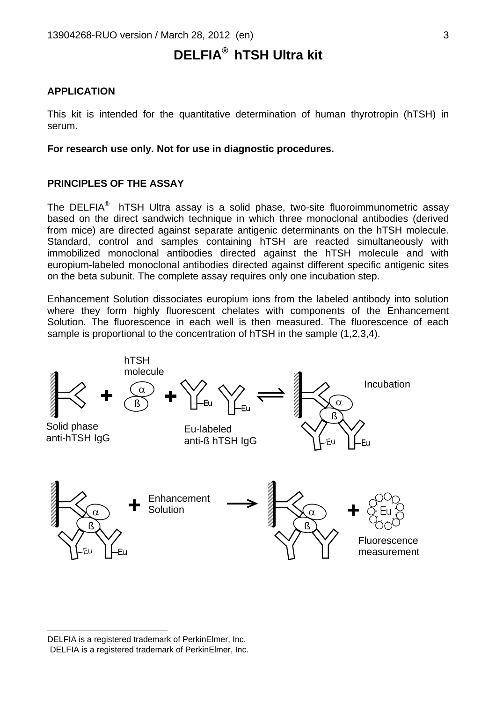### **DELFIA®**  **hTSH Ultra kit**

#### **APPLICATION**

This kit is intended for the quantitative determination of human thyrotropin (hTSH) in serum.

**For research use only. Not for use in diagnostic procedures.** 

#### **PRINCIPLES OF THE ASSAY**

TheDELFIA<sup>®</sup> hTSH Ultra assay is a solid phase, two-site fluoroimmunometric assay based on the direct sandwich technique in which three monoclonal antibodies (derived from mice) are directed against separate antigenic determinants on the hTSH molecule. Standard, control and samples containing hTSH are reacted simultaneously with immobilized monoclonal antibodies directed against the hTSH molecule and with europium-labeled monoclonal antibodies directed against different specific antigenic sites on the beta subunit. The complete assay requires only one incubation step.

Enhancement Solution dissociates europium ions from the labeled antibody into solution where they form highly fluorescent chelates with components of the Enhancement Solution. The fluorescence in each well is then measured. The fluorescence of each sample is proportional to the concentration of hTSH in the sample (1,2,3,4).



<span id="page-2-1"></span><span id="page-2-0"></span>DELFIA is a registered trademark of PerkinElmer, Inc.<br>DELFIA is a registered trademark of PerkinElmer, Inc.

 $\overline{a}$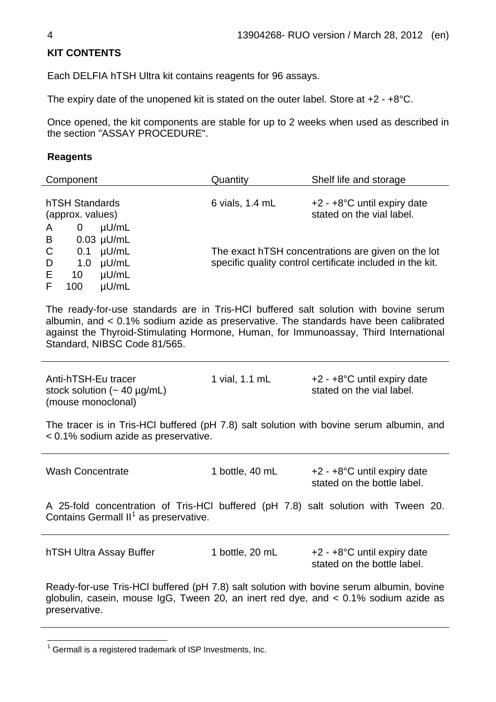#### **KIT CONTENTS**

Each DELFIA hTSH Ultra kit contains reagents for 96 assays.

The expiry date of the unopened kit is stated on the outer label. Store at +2 - +8°C.

Once opened, the kit components are stable for up to 2 weeks when used as described in the section "ASSAY PROCEDURE".

#### **Reagents**

| Component        |             |              | Quantity        | Shelf life and storage                                    |
|------------------|-------------|--------------|-----------------|-----------------------------------------------------------|
|                  |             |              |                 |                                                           |
| hTSH Standards   |             |              | 6 vials, 1.4 mL | $+2 - +8$ °C until expiry date                            |
| (approx. values) |             |              |                 | stated on the vial label.                                 |
| A                | $\mathbf 0$ | $\mu$ U/mL   |                 |                                                           |
| B                |             | $0.03$ µU/mL |                 |                                                           |
| C                | 0.1         | $\mu$ U/mL   |                 | The exact hTSH concentrations are given on the lot        |
| D                | 1.0         | $\mu$ U/mL   |                 | specific quality control certificate included in the kit. |
| E                | 10          | $\mu$ U/mL   |                 |                                                           |
|                  | 100         | $\mu$ U/mL   |                 |                                                           |

The ready-for-use standards are in Tris-HCl buffered salt solution with bovine serum albumin, and < 0.1% sodium azide as preservative. The standards have been calibrated against the Thyroid-Stimulating Hormone, Human, for Immunoassay, Third International Standard, NIBSC Code 81/565.

Anti-hTSH-Eu tracer stock solution  $($  - 40  $\mu$ g/mL) (mouse monoclonal) 1 vial, 1.1 mL  $+2 - +8$ °C until expiry date stated on the vial label. The tracer is in Tris-HCl buffered (pH 7.8) salt solution with bovine serum albumin, and < 0.1% sodium azide as preservative. Wash Concentrate 1 bottle, 40 mL +2 - +8°C until expiry date stated on the bottle label. A 25-fold concentration of Tris-HCl buffered (pH 7.8) salt solution with Tween 20. Contains Germall  $II^1$  $II^1$  as preservative. hTSH Ultra Assay Buffer 1 bottle, 20 mL +2 - +8°C until expiry date stated on the bottle label. Ready-for-use Tris-HCl buffered (pH 7.8) salt solution with bovine serum albumin, bovine globulin, casein, mouse IgG, Tween 20, an inert red dye, and < 0.1% sodium azide as preservative.

l

<span id="page-3-0"></span> $1$  Germall is a registered trademark of ISP Investments, Inc.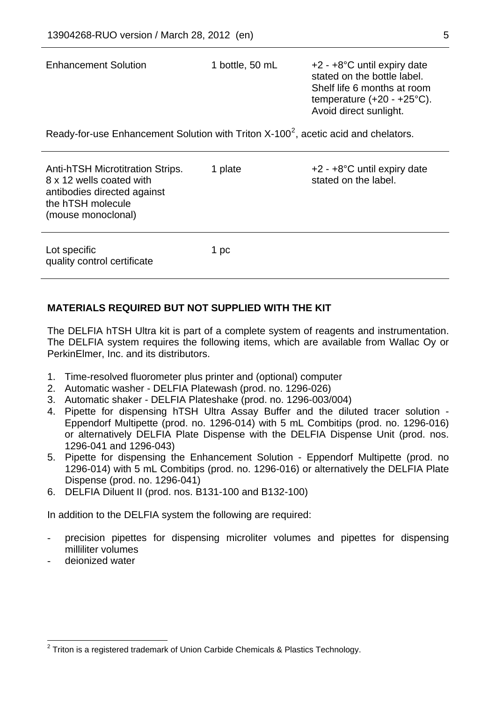| <b>Enhancement Solution</b>                                                                                                                   | 1 bottle, 50 mL | $+2 - +8$ °C until expiry date<br>stated on the bottle label.<br>Shelf life 6 months at room<br>temperature $(+20 - +25^{\circ}C)$ .<br>Avoid direct sunlight. |  |  |
|-----------------------------------------------------------------------------------------------------------------------------------------------|-----------------|----------------------------------------------------------------------------------------------------------------------------------------------------------------|--|--|
| Ready-for-use Enhancement Solution with Triton X-100 <sup>2</sup> , acetic acid and chelators.                                                |                 |                                                                                                                                                                |  |  |
| <b>Anti-hTSH Microtitration Strips.</b><br>8 x 12 wells coated with<br>antibodies directed against<br>the hTSH molecule<br>(mouse monoclonal) | 1 plate         | $+2 - +8$ °C until expiry date<br>stated on the label.                                                                                                         |  |  |

1 pc

| <b>MATERIALS REQUIRED BUT NOT SUPPLIED WITH THE KIT</b> |  |  |
|---------------------------------------------------------|--|--|

The DELFIA hTSH Ultra kit is part of a complete system of reagents and instrumentation. The DELFIA system requires the following items, which are available from Wallac Oy or PerkinElmer, Inc. and its distributors.

- 1. Time-resolved fluorometer plus printer and (optional) computer
- 2. Automatic washer DELFIA Platewash (prod. no. 1296-026)
- 3. Automatic shaker DELFIA Plateshake (prod. no. 1296-003/004)
- 4. Pipette for dispensing hTSH Ultra Assay Buffer and the diluted tracer solution Eppendorf Multipette (prod. no. 1296-014) with 5 mL Combitips (prod. no. 1296-016) or alternatively DELFIA Plate Dispense with the DELFIA Dispense Unit (prod. nos. 1296-041 and 1296-043)
- 5. Pipette for dispensing the Enhancement Solution Eppendorf Multipette (prod. no 1296-014) with 5 mL Combitips (prod. no. 1296-016) or alternatively the DELFIA Plate Dispense (prod. no. 1296-041)
- 6. DELFIA Diluent II (prod. nos. B131-100 and B132-100)

In addition to the DELFIA system the following are required:

- precision pipettes for dispensing microliter volumes and pipettes for dispensing milliliter volumes
- deionized water

l

Lot specific

quality control certificate

<span id="page-4-0"></span> $2$  Triton is a registered trademark of Union Carbide Chemicals & Plastics Technology.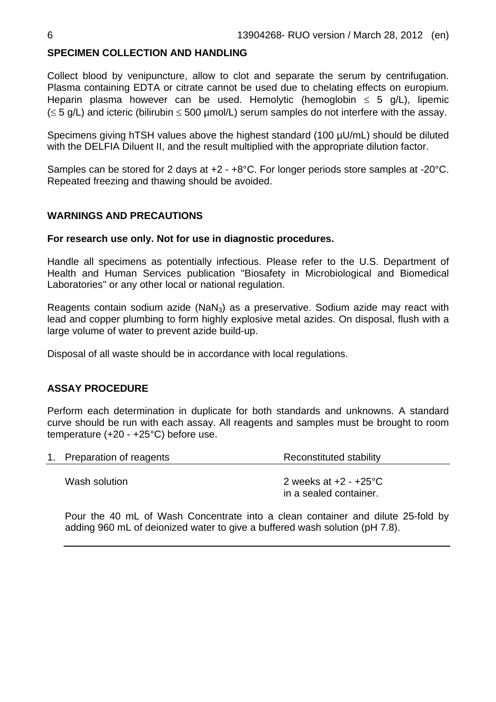#### **SPECIMEN COLLECTION AND HANDLING**

Collect blood by venipuncture, allow to clot and separate the serum by centrifugation. Plasma containing EDTA or citrate cannot be used due to chelating effects on europium. Heparin plasma however can be used. Hemolytic (hemoglobin  $\leq 5$  g/L), lipemic  $(\leq 5$  g/L) and icteric (bilirubin  $\leq 500$  µmol/L) serum samples do not interfere with the assay.

Specimens giving hTSH values above the highest standard (100 µU/mL) should be diluted with the DELFIA Diluent II, and the result multiplied with the appropriate dilution factor.

Samples can be stored for 2 days at +2 - +8°C. For longer periods store samples at -20°C. Repeated freezing and thawing should be avoided.

#### **WARNINGS AND PRECAUTIONS**

#### **For research use only. Not for use in diagnostic procedures.**

Handle all specimens as potentially infectious. Please refer to the U.S. Department of Health and Human Services publication "Biosafety in Microbiological and Biomedical Laboratories" or any other local or national regulation.

Reagents contain sodium azide (NaN<sub>3</sub>) as a preservative. Sodium azide may react with lead and copper plumbing to form highly explosive metal azides. On disposal, flush with a large volume of water to prevent azide build-up.

Disposal of all waste should be in accordance with local regulations.

#### **ASSAY PROCEDURE**

Perform each determination in duplicate for both standards and unknowns. A standard curve should be run with each assay. All reagents and samples must be brought to room temperature (+20 - +25°C) before use.

| 1. Preparation of reagents | Reconstituted stability |
|----------------------------|-------------------------|
|                            |                         |

Wash solution 2 weeks at  $+2$  -  $+25^{\circ}$ C in a sealed container.

Pour the 40 mL of Wash Concentrate into a clean container and dilute 25-fold by adding 960 mL of deionized water to give a buffered wash solution (pH 7.8).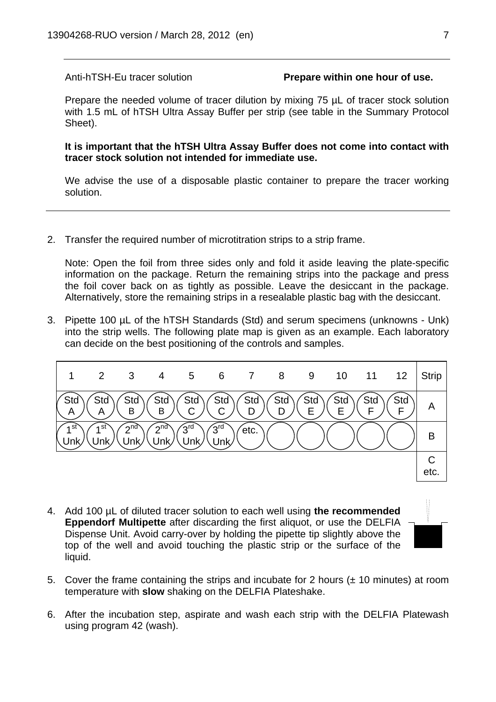#### Anti-hTSH-Eu tracer solution **Prepare within one hour of use.**

Prepare the needed volume of tracer dilution by mixing 75  $\mu$ L of tracer stock solution with 1.5 mL of hTSH Ultra Assay Buffer per strip (see table in the Summary Protocol Sheet).

**It is important that the hTSH Ultra Assay Buffer does not come into contact with tracer stock solution not intended for immediate use.**

We advise the use of a disposable plastic container to prepare the tracer working solution.

2. Transfer the required number of microtitration strips to a strip frame.

Note: Open the foil from three sides only and fold it aside leaving the plate-specific information on the package. Return the remaining strips into the package and press the foil cover back on as tightly as possible. Leave the desiccant in the package. Alternatively, store the remaining strips in a resealable plastic bag with the desiccant.

3. Pipette 100 µL of the hTSH Standards (Std) and serum specimens (unknowns - Unk) into the strip wells. The following plate map is given as an example. Each laboratory can decide on the best positioning of the controls and samples.



- 4. Add 100 µL of diluted tracer solution to each well using **the recommended Eppendorf Multipette** after discarding the first aliquot, or use the DELFIA Dispense Unit. Avoid carry-over by holding the pipette tip slightly above the top of the well and avoid touching the plastic strip or the surface of the liquid.
- 
- 5. Cover the frame containing the strips and incubate for 2 hours  $(\pm 10 \text{ minutes})$  at room temperature with **slow** shaking on the DELFIA Plateshake.
- 6. After the incubation step, aspirate and wash each strip with the DELFIA Platewash using program 42 (wash).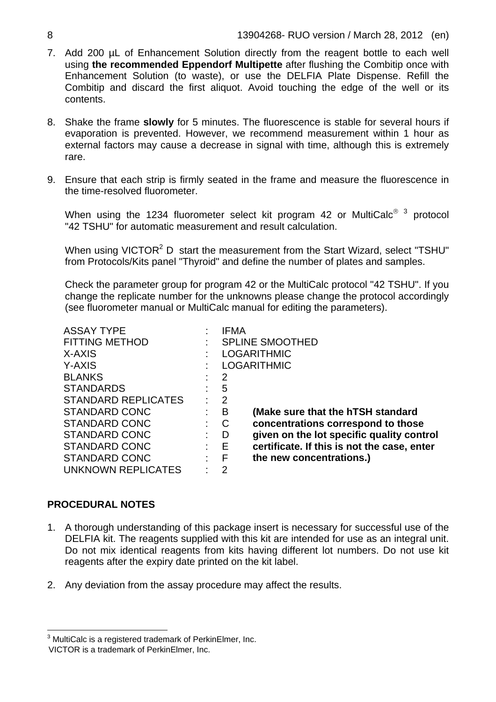- 7. Add 200 µL of Enhancement Solution directly from the reagent bottle to each well using **the recommended Eppendorf Multipette** after flushing the Combitip once with Enhancement Solution (to waste), or use the DELFIA Plate Dispense. Refill the Combitip and discard the first aliquot. Avoid touching the edge of the well or its contents.
- 8. Shake the frame **slowly** for 5 minutes. The fluorescence is stable for several hours if evaporation is prevented. However, we recommend measurement within 1 hour as external factors may cause a decrease in signal with time, although this is extremely rare.
- 9. Ensure that each strip is firmly seated in the frame and measure the fluorescence in the time-resolved fluorometer.

When using the 12[3](#page-7-0)4 fluorometer select kit program 42 or MultiCalc $^{\circ}$  <sup>3</sup> protocol "42 TSHU" for automatic measurement and result calculation.

When using VICTOR<sup>2</sup> D start the measurement from the Start Wizard, select "TSHU" from Protocols/Kits panel "Thyroid" and define the number of plates and samples.

Check the parameter group for program 42 or the MultiCalc protocol "42 TSHU". If you change the replicate number for the unknowns please change the protocol accordingly (see fluorometer manual or MultiCalc manual for editing the parameters).

| <b>ASSAY TYPE</b>          |   | IFMA                                             |  |
|----------------------------|---|--------------------------------------------------|--|
| <b>FITTING METHOD</b>      |   | <b>SPLINE SMOOTHED</b>                           |  |
| X-AXIS                     |   | <b>LOGARITHMIC</b>                               |  |
| Y-AXIS                     |   | <b>LOGARITHMIC</b>                               |  |
| <b>BLANKS</b>              |   | 2                                                |  |
| <b>STANDARDS</b>           |   | 5                                                |  |
| <b>STANDARD REPLICATES</b> |   | $\overline{2}$                                   |  |
| STANDARD CONC              |   | в<br>(Make sure that the hTSH standard           |  |
| STANDARD CONC              |   | concentrations correspond to those<br>C          |  |
| <b>STANDARD CONC</b>       |   | given on the lot specific quality control<br>D   |  |
| <b>STANDARD CONC</b>       |   | certificate. If this is not the case, enter<br>Е |  |
| <b>STANDARD CONC</b>       | ٠ | F<br>the new concentrations.)                    |  |
| <b>UNKNOWN REPLICATES</b>  |   | 2                                                |  |

#### **PROCEDURAL NOTES**

- 1. A thorough understanding of this package insert is necessary for successful use of the DELFIA kit. The reagents supplied with this kit are intended for use as an integral unit. Do not mix identical reagents from kits having different lot numbers. Do not use kit reagents after the expiry date printed on the kit label.
- 2. Any deviation from the assay procedure may affect the results.

 3 MultiCalc is a registered trademark of PerkinElmer, Inc.

<span id="page-7-1"></span><span id="page-7-0"></span>VICTOR is a trademark of PerkinElmer, Inc.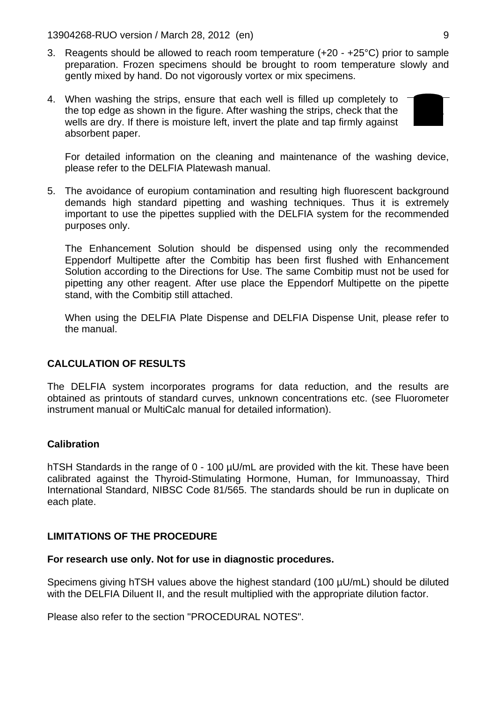13904268-RUO version / March 28, 2012 (en) 9

- 3. Reagents should be allowed to reach room temperature (+20 +25°C) prior to sample preparation. Frozen specimens should be brought to room temperature slowly and gently mixed by hand. Do not vigorously vortex or mix specimens.
- 4. When washing the strips, ensure that each well is filled up completely to the top edge as shown in the figure. After washing the strips, check that the wells are dry. If there is moisture left, invert the plate and tap firmly against absorbent paper.



For detailed information on the cleaning and maintenance of the washing device, please refer to the DELFIA Platewash manual.

5. The avoidance of europium contamination and resulting high fluorescent background demands high standard pipetting and washing techniques. Thus it is extremely important to use the pipettes supplied with the DELFIA system for the recommended purposes only.

The Enhancement Solution should be dispensed using only the recommended Eppendorf Multipette after the Combitip has been first flushed with Enhancement Solution according to the Directions for Use. The same Combitip must not be used for pipetting any other reagent. After use place the Eppendorf Multipette on the pipette stand, with the Combitip still attached.

When using the DELFIA Plate Dispense and DELFIA Dispense Unit, please refer to the manual.

#### **CALCULATION OF RESULTS**

The DELFIA system incorporates programs for data reduction, and the results are obtained as printouts of standard curves, unknown concentrations etc. (see Fluorometer instrument manual or MultiCalc manual for detailed information).

#### **Calibration**

hTSH Standards in the range of 0 - 100 µU/mL are provided with the kit. These have been calibrated against the Thyroid-Stimulating Hormone, Human, for Immunoassay, Third International Standard, NIBSC Code 81/565. The standards should be run in duplicate on each plate.

#### **LIMITATIONS OF THE PROCEDURE**

#### **For research use only. Not for use in diagnostic procedures.**

Specimens giving hTSH values above the highest standard (100 µU/mL) should be diluted with the DELFIA Diluent II, and the result multiplied with the appropriate dilution factor.

Please also refer to the section "PROCEDURAL NOTES".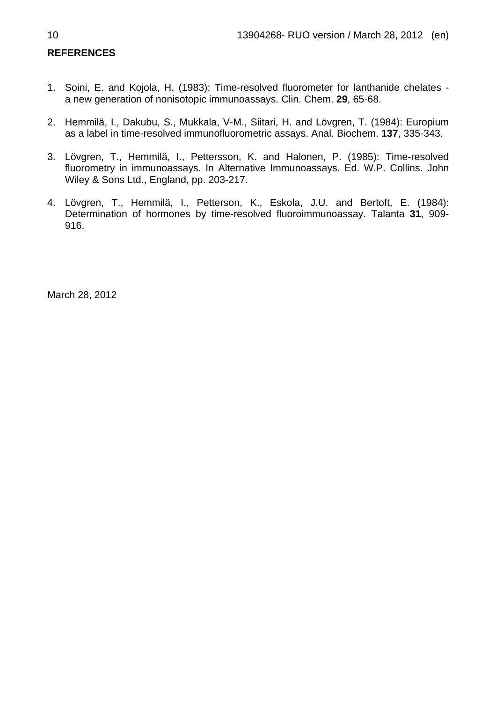#### **REFERENCES**

- 1. Soini, E. and Kojola, H. (1983): Time-resolved fluorometer for lanthanide chelates a new generation of nonisotopic immunoassays. Clin. Chem. **29**, 65-68.
- 2. Hemmilä, I., Dakubu, S., Mukkala, V-M., Siitari, H. and Lövgren, T. (1984): Europium as a label in time-resolved immunofluorometric assays. Anal. Biochem. **137**, 335-343.
- 3. Lövgren, T., Hemmilä, I., Pettersson, K. and Halonen, P. (1985): Time-resolved fluorometry in immunoassays. In Alternative Immunoassays. Ed. W.P. Collins. John Wiley & Sons Ltd., England, pp. 203-217.
- 4. Lövgren, T., Hemmilä, I., Petterson, K., Eskola, J.U. and Bertoft, E. (1984): Determination of hormones by time-resolved fluoroimmunoassay. Talanta **31**, 909- 916.

March 28, 2012